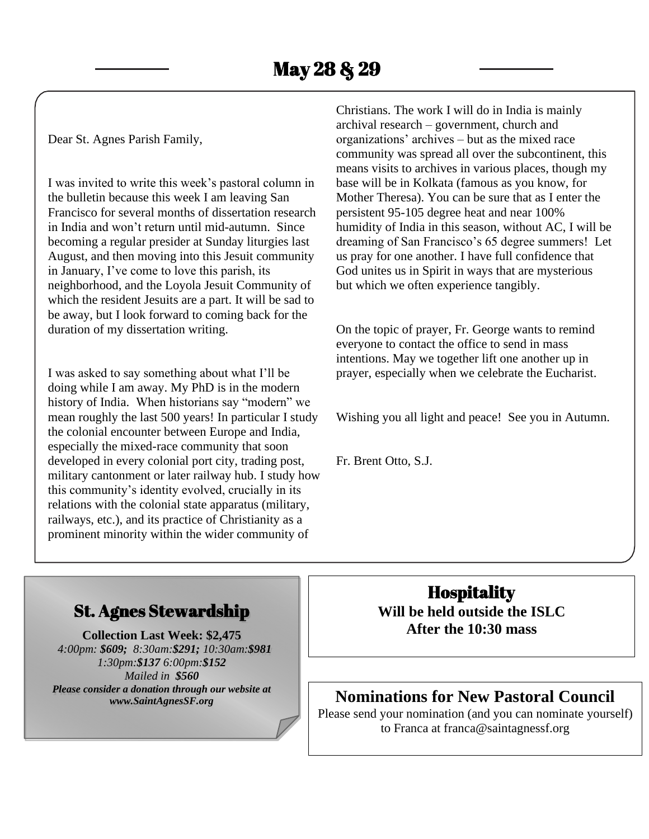Dear St. Agnes Parish Family,

I was invited to write this week's pastoral column in the bulletin because this week I am leaving San Francisco for several months of dissertation research in India and won't return until mid-autumn. Since becoming a regular presider at Sunday liturgies last August, and then moving into this Jesuit community in January, I've come to love this parish, its neighborhood, and the Loyola Jesuit Community of which the resident Jesuits are a part. It will be sad to be away, but I look forward to coming back for the duration of my dissertation writing.

I was asked to say something about what I'll be doing while I am away. My PhD is in the modern history of India. When historians say "modern" we mean roughly the last 500 years! In particular I study the colonial encounter between Europe and India, especially the mixed-race community that soon developed in every colonial port city, trading post, military cantonment or later railway hub. I study how this community's identity evolved, crucially in its relations with the colonial state apparatus (military, railways, etc.), and its practice of Christianity as a prominent minority within the wider community of

Christians. The work I will do in India is mainly archival research – government, church and organizations' archives – but as the mixed race community was spread all over the subcontinent, this means visits to archives in various places, though my base will be in Kolkata (famous as you know, for Mother Theresa). You can be sure that as I enter the persistent 95-105 degree heat and near 100% humidity of India in this season, without AC, I will be dreaming of San Francisco's 65 degree summers! Let us pray for one another. I have full confidence that God unites us in Spirit in ways that are mysterious but which we often experience tangibly.

On the topic of prayer, Fr. George wants to remind everyone to contact the office to send in mass intentions. May we together lift one another up in prayer, especially when we celebrate the Eucharist.

Wishing you all light and peace! See you in Autumn.

Fr. Brent Otto, S.J.

## St. Agnes Stewardship

**Collection Last Week: \$2,475** *4:00pm: \$609; 8:30am:\$291; 10:30am:\$981 1:30pm:\$137 6:00pm:\$152 Mailed in \$560 Please consider a donation through our website at www.SaintAgnesSF.org*

**Hospitality Will be held outside the ISLC After the 10:30 mass**

## **Nominations for New Pastoral Council**

Please send your nomination (and you can nominate yourself) to Franca at franca@saintagnessf.org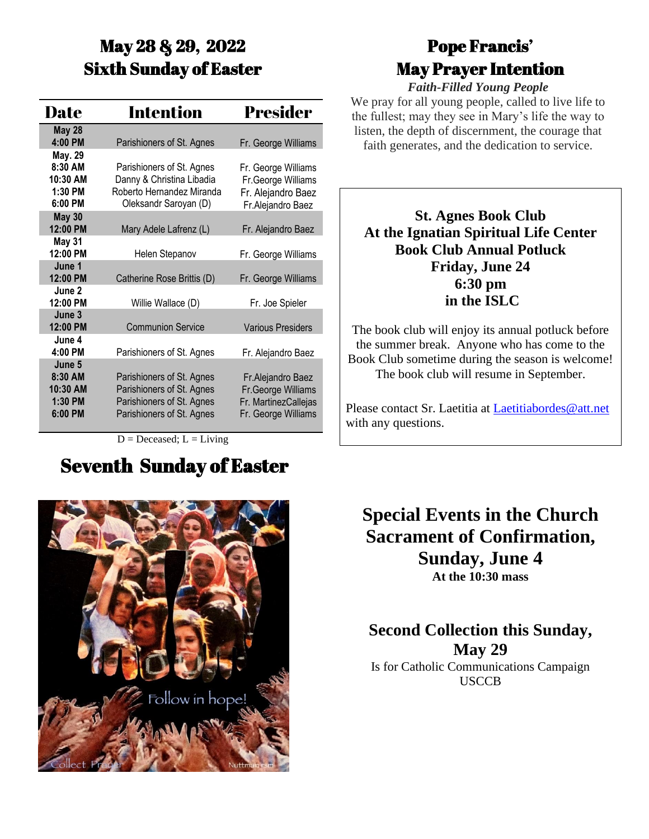# May 28 & 29, 2022 Sixth Sunday of Easter

| Date                                                  | Intention                                                                                                        | <b>Presider</b>                                                                         |
|-------------------------------------------------------|------------------------------------------------------------------------------------------------------------------|-----------------------------------------------------------------------------------------|
| <b>May 28</b>                                         |                                                                                                                  |                                                                                         |
| 4:00 PM                                               | Parishioners of St. Agnes                                                                                        | Fr. George Williams                                                                     |
| May. 29<br>8:30 AM                                    |                                                                                                                  |                                                                                         |
| 10:30 AM                                              | Parishioners of St. Agnes<br>Danny & Christina Libadia                                                           | Fr. George Williams                                                                     |
| 1:30 PM                                               | Roberto Hernandez Miranda                                                                                        | Fr.George Williams<br>Fr. Alejandro Baez                                                |
| 6:00 PM                                               | Oleksandr Saroyan (D)                                                                                            | Fr.Alejandro Baez                                                                       |
| <b>May 30</b>                                         |                                                                                                                  |                                                                                         |
| 12:00 PM                                              | Mary Adele Lafrenz (L)                                                                                           | Fr. Alejandro Baez                                                                      |
| <b>May 31</b>                                         |                                                                                                                  |                                                                                         |
| 12:00 PM                                              | Helen Stepanov                                                                                                   | Fr. George Williams                                                                     |
| June 1                                                |                                                                                                                  |                                                                                         |
| 12:00 PM<br>June 2                                    | Catherine Rose Brittis (D)                                                                                       | Fr. George Williams                                                                     |
| 12:00 PM                                              | Willie Wallace (D)                                                                                               | Fr. Joe Spieler                                                                         |
| June 3                                                |                                                                                                                  |                                                                                         |
| 12:00 PM                                              | <b>Communion Service</b>                                                                                         | <b>Various Presiders</b>                                                                |
| June 4                                                |                                                                                                                  |                                                                                         |
| 4:00 PM                                               | Parishioners of St. Agnes                                                                                        | Fr. Alejandro Baez                                                                      |
| June 5<br>8:30 AM<br>10:30 AM<br>$1:30$ PM<br>6:00 PM | Parishioners of St. Agnes<br>Parishioners of St. Agnes<br>Parishioners of St. Agnes<br>Parishioners of St. Agnes | Fr. Alejandro Baez<br>Fr.George Williams<br>Fr. MartinezCallejas<br>Fr. George Williams |
|                                                       |                                                                                                                  |                                                                                         |

 $D = Deceased; L = Living$ 

# Seventh Sunday of Easter

# Pope Francis' May Prayer Intention

*Faith-Filled Young People* We pray for all young people, called to live life to the fullest; may they see in Mary's life the way to listen, the depth of discernment, the courage that faith generates, and the dedication to service.

**St. Agnes Book Club At the Ignatian Spiritual Life Center Book Club Annual Potluck Friday, June 24 6:30 pm in the ISLC**

The book club will enjoy its annual potluck before the summer break. Anyone who has come to the Book Club sometime during the season is welcome! The book club will resume in September.

Please contact Sr. Laetitia at [Laetitiabordes@att.net](mailto:Laetitiabordes@att.net) with any questions.

**Special Events in the Church Sacrament of Confirmation, Sunday, June 4 At the 10:30 mass**

**Second Collection this Sunday, May 29** Is for Catholic Communications Campaign USCCB

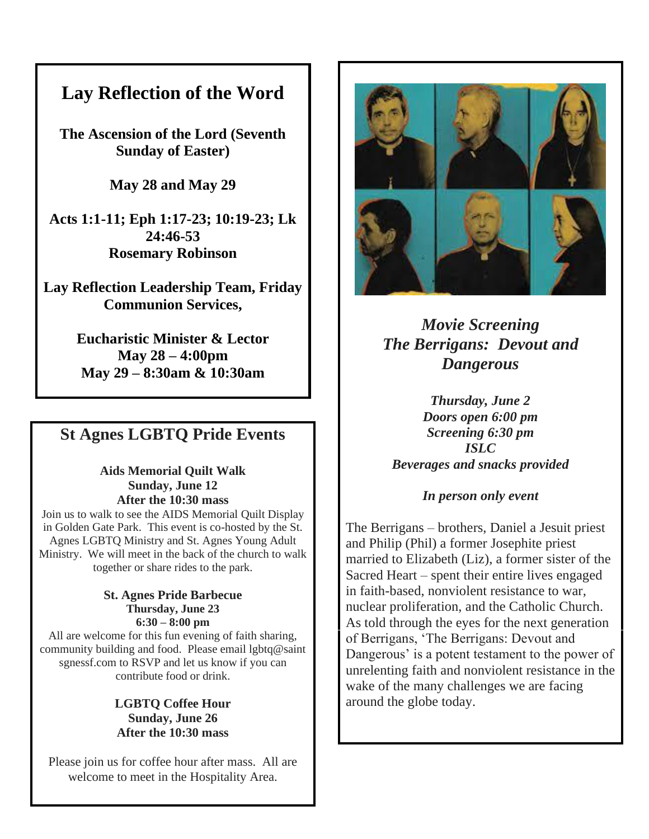## **Lay Reflection of the Word**

**The Ascension of the Lord (Seventh Sunday of Easter)**

**May 28 and May 29**

**Acts 1:1-11; Eph 1:17-23; 10:19-23; Lk 24:46-53 Rosemary Robinson**

**Lay Reflection Leadership Team, Friday Communion Services,**

> **Eucharistic Minister & Lector May 28 – 4:00pm May 29 – 8:30am & 10:30am**

## **St Agnes LGBTQ Pride Events**

**Aids Memorial Quilt Walk Sunday, June 12 After the 10:30 mass**

Join us to walk to see the AIDS Memorial Quilt Display in Golden Gate Park. This event is co-hosted by the St. Agnes LGBTQ Ministry and St. Agnes Young Adult Ministry. We will meet in the back of the church to walk together or share rides to the park.

#### **St. Agnes Pride Barbecue Thursday, June 23 6:30 – 8:00 pm**

All are welcome for this fun evening of faith sharing, community building and food. Please email lgbtq@saint sgnessf.com to RSVP and let us know if you can contribute food or drink.

### **LGBTQ Coffee Hour Sunday, June 26 After the 10:30 mass**

Please join us for coffee hour after mass. All are welcome to meet in the Hospitality Area.



*Movie Screening The Berrigans: Devout and Dangerous*

*Thursday, June 2 Doors open 6:00 pm Screening 6:30 pm ISLC Beverages and snacks provided*

### *In person only event*

The Berrigans – brothers, Daniel a Jesuit priest and Philip (Phil) a former Josephite priest married to Elizabeth (Liz), a former sister of the Sacred Heart – spent their entire lives engaged in faith-based, nonviolent resistance to war, nuclear proliferation, and the Catholic Church. As told through the eyes for the next generation of Berrigans, 'The Berrigans: Devout and Dangerous' is a potent testament to the power of unrelenting faith and nonviolent resistance in the wake of the many challenges we are facing around the globe today.